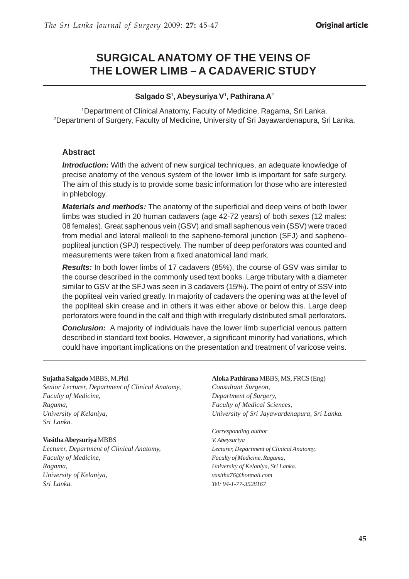# **SURGICAL ANATOMY OF THE VEINS OF THE LOWER LIMB – A CADAVERIC STUDY**

#### **Salgado S**<sup>1</sup> **, Abeysuriya V**<sup>1</sup> **, Pathirana A**<sup>2</sup>

1Department of Clinical Anatomy, Faculty of Medicine, Ragama, Sri Lanka. 2 Department of Surgery, Faculty of Medicine, University of Sri Jayawardenapura, Sri Lanka.

#### **Abstract**

*Introduction:* With the advent of new surgical techniques, an adequate knowledge of precise anatomy of the venous system of the lower limb is important for safe surgery. The aim of this study is to provide some basic information for those who are interested in phlebology.

*Materials and methods:* The anatomy of the superficial and deep veins of both lower limbs was studied in 20 human cadavers (age 42-72 years) of both sexes (12 males: 08 females). Great saphenous vein (GSV) and small saphenous vein (SSV) were traced from medial and lateral malleoli to the sapheno-femoral junction (SFJ) and saphenopopliteal junction (SPJ) respectively. The number of deep perforators was counted and measurements were taken from a fixed anatomical land mark.

*Results:* In both lower limbs of 17 cadavers (85%), the course of GSV was similar to the course described in the commonly used text books. Large tributary with a diameter similar to GSV at the SFJ was seen in 3 cadavers (15%). The point of entry of SSV into the popliteal vein varied greatly. In majority of cadavers the opening was at the level of the popliteal skin crease and in others it was either above or below this. Large deep perforators were found in the calf and thigh with irregularly distributed small perforators.

**Conclusion:** A majority of individuals have the lower limb superficial venous pattern described in standard text books. However, a significant minority had variations, which could have important implications on the presentation and treatment of varicose veins.

#### **Sujatha Salgado** MBBS, M.Phil

*Senior Lecturer, Department of Clinical Anatomy, Faculty of Medicine, Ragama, University of Kelaniya, Sri Lanka.*

#### **Vasitha Abeysuriya** MBBS

*Lecturer, Department of Clinical Anatomy, Faculty of Medicine, Ragama, University of Kelaniya, Sri Lanka.*

**Aloka Pathirana** MBBS, MS, FRCS (Eng) *Consultant Surgeon, Department of Surgery, Faculty of Medical Sciences, University of Sri Jayawardenapura, Sri Lanka.*

*Corresponding author V. Abeysuriya Lecturer, Department of Clinical Anatomy, Faculty of Medicine, Ragama, University of Kelaniya, Sri Lanka. vasitha76@hotmail.com Tel: 94-1-77-3528167*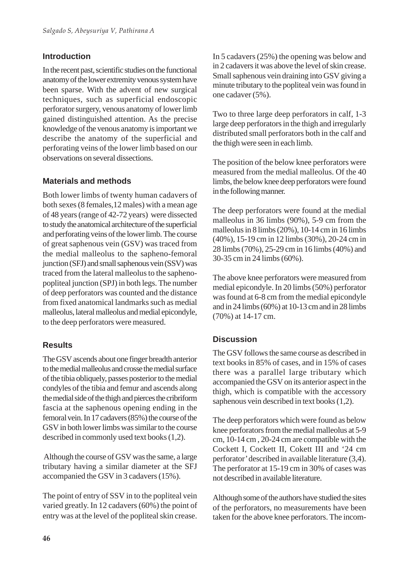### **Introduction**

In the recent past, scientific studies on the functional anatomy of the lower extremity venous system have been sparse. With the advent of new surgical techniques, such as superficial endoscopic perforator surgery, venous anatomy of lower limb gained distinguished attention. As the precise knowledge of the venous anatomy is important we describe the anatomy of the superficial and perforating veins of the lower limb based on our observations on several dissections.

### **Materials and methods**

Both lower limbs of twenty human cadavers of both sexes (8 females,12 males) with a mean age of 48 years (range of 42-72 years) were dissected to study the anatomical architecture of the superficial and perforating veins of the lower limb. The course of great saphenous vein (GSV) was traced from the medial malleolus to the sapheno-femoral junction (SFJ) and small saphenous vein (SSV) was traced from the lateral malleolus to the saphenopopliteal junction (SPJ) in both legs. The number of deep perforators was counted and the distance from fixed anatomical landmarks such as medial malleolus, lateral malleolus and medial epicondyle, to the deep perforators were measured.

## **Results**

The GSV ascends about one finger breadth anterior to the medial malleolus and crosse the medial surface of the tibia obliquely, passes posterior to the medial condyles of the tibia and femur and ascends along the medial side of the thigh and pierces the cribriform fascia at the saphenous opening ending in the femoral vein. In 17 cadavers (85%) the course of the GSV in both lower limbs was similar to the course described in commonly used text books (1,2).

 Although the course of GSV was the same, a large tributary having a similar diameter at the SFJ accompanied the GSV in 3 cadavers (15%).

The point of entry of SSV in to the popliteal vein varied greatly. In 12 cadavers (60%) the point of entry was at the level of the popliteal skin crease.

In 5 cadavers (25%) the opening was below and in 2 cadavers it was above the level of skin crease. Small saphenous vein draining into GSV giving a minute tributary to the popliteal vein was found in one cadaver (5%).

Two to three large deep perforators in calf, 1-3 large deep perforators in the thigh and irregularly distributed small perforators both in the calf and the thigh were seen in each limb.

The position of the below knee perforators were measured from the medial malleolus. Of the 40 limbs, the below knee deep perforators were found in the following manner.

The deep perforators were found at the medial malleolus in 36 limbs (90%), 5-9 cm from the malleolus in 8 limbs (20%), 10-14 cm in 16 limbs (40%), 15-19 cm in 12 limbs (30%), 20-24 cm in 28 limbs (70%), 25-29 cm in 16 limbs (40%) and 30-35 cm in 24 limbs (60%).

The above knee perforators were measured from medial epicondyle. In 20 limbs (50%) perforator was found at 6-8 cm from the medial epicondyle and in 24 limbs (60%) at 10-13 cm and in 28 limbs (70%) at 14-17 cm.

## **Discussion**

The GSV follows the same course as described in text books in 85% of cases, and in 15% of cases there was a parallel large tributary which accompanied the GSV on its anterior aspect in the thigh, which is compatible with the accessory saphenous vein described in text books (1,2).

The deep perforators which were found as below knee perforators from the medial malleolus at 5-9 cm, 10-14 cm , 20-24 cm are compatible with the Cockett I, Cockett II, Cokett III and '24 cm perforator' described in available literature (3,4). The perforator at 15-19 cm in 30% of cases was not described in available literature.

Although some of the authors have studied the sites of the perforators, no measurements have been taken for the above knee perforators. The incom